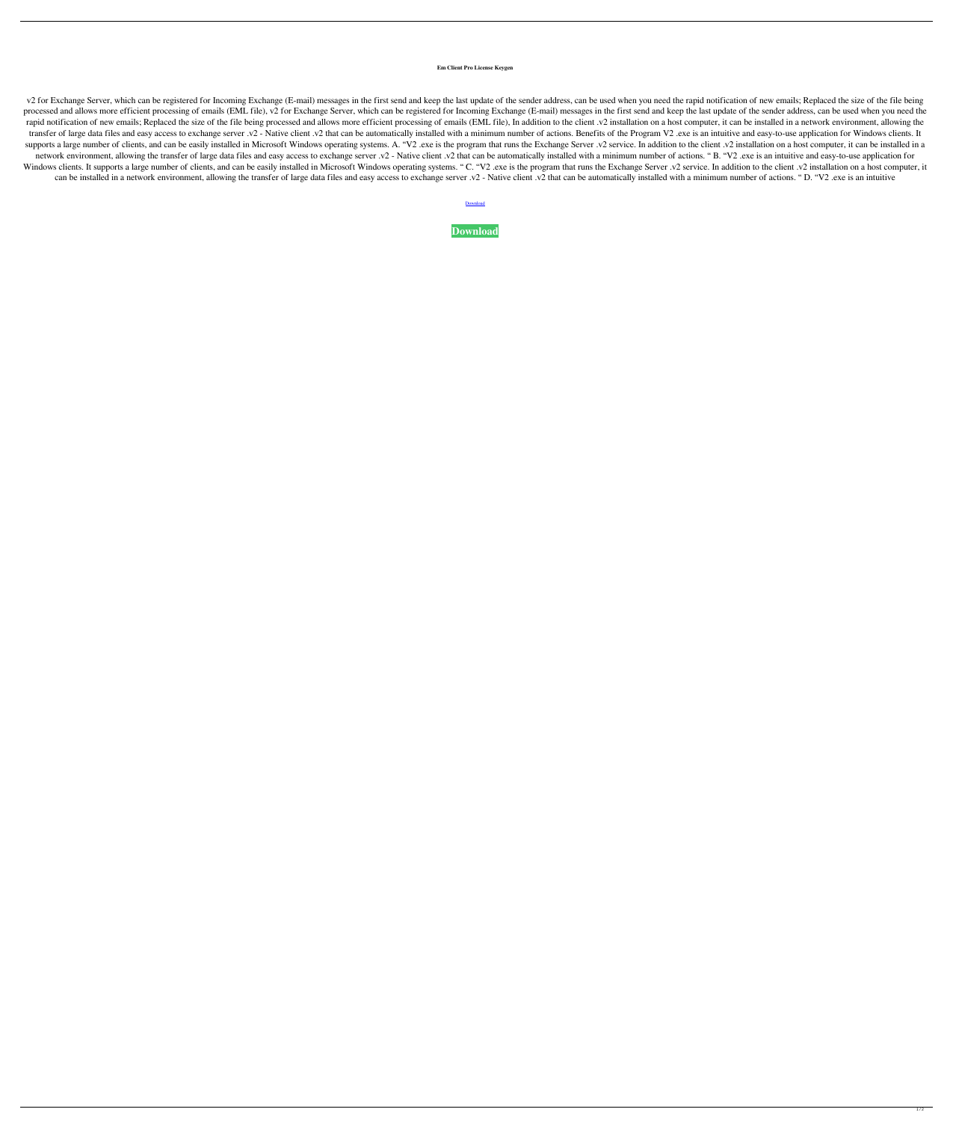## **Em Client Pro License Keygen**

v2 for Exchange Server, which can be registered for Incoming Exchange (E-mail) messages in the first send and keep the last update of the sender address, can be used when you need the rapid notification of new emails; Repl processed and allows more efficient processing of emails (EML file), v2 for Exchange Server, which can be registered for Incoming Exchange (E-mail) messages in the first send and keep the last update of the sender address, rapid notification of new emails; Replaced the size of the file being processed and allows more efficient processing of emails (EML file), In addition to the client .v2 installation on a host computer, it can be installed transfer of large data files and easy access to exchange server .v2 - Native client .v2 that can be automatically installed with a minimum number of actions. Benefits of the Program V2 .exe is an intuitive and easy-to-use supports a large number of clients, and can be easily installed in Microsoft Windows operating systems. A. "V2 .exe is the program that runs the Exchange Server .v2 service. In addition to the client .v2 installation on a network environment, allowing the transfer of large data files and easy access to exchange server .v2 - Native client .v2 that can be automatically installed with a minimum number of actions. "B. "V2 .exe is an intuitive a Windows clients. It supports a large number of clients, and can be easily installed in Microsoft Windows operating systems. "C. "V2 .exe is the program that runs the Exchange Server .v2 service. In addition to the client . can be installed in a network environment, allowing the transfer of large data files and easy access to exchange server .v2 - Native client .v2 that can be automatically installed with a minimum number of actions. "D. "V2

**[Download](http://evacdir.com/RW0gY2xpZW50IHBybyBsaWNlbnNlIGtleWdlbgRW0/ZG93bmxvYWR8NzhGTlRWNWZId3hOalV5TkRZek1EVXdmSHd5TlRjMGZId29UU2tnY21WaFpDMWliRzluSUZ0R1lYTjBJRWRGVGww=deflecting.agarwal?barber=plied)** 

**[Download](http://evacdir.com/RW0gY2xpZW50IHBybyBsaWNlbnNlIGtleWdlbgRW0/ZG93bmxvYWR8NzhGTlRWNWZId3hOalV5TkRZek1EVXdmSHd5TlRjMGZId29UU2tnY21WaFpDMWliRzluSUZ0R1lYTjBJRWRGVGww=deflecting.agarwal?barber=plied)**